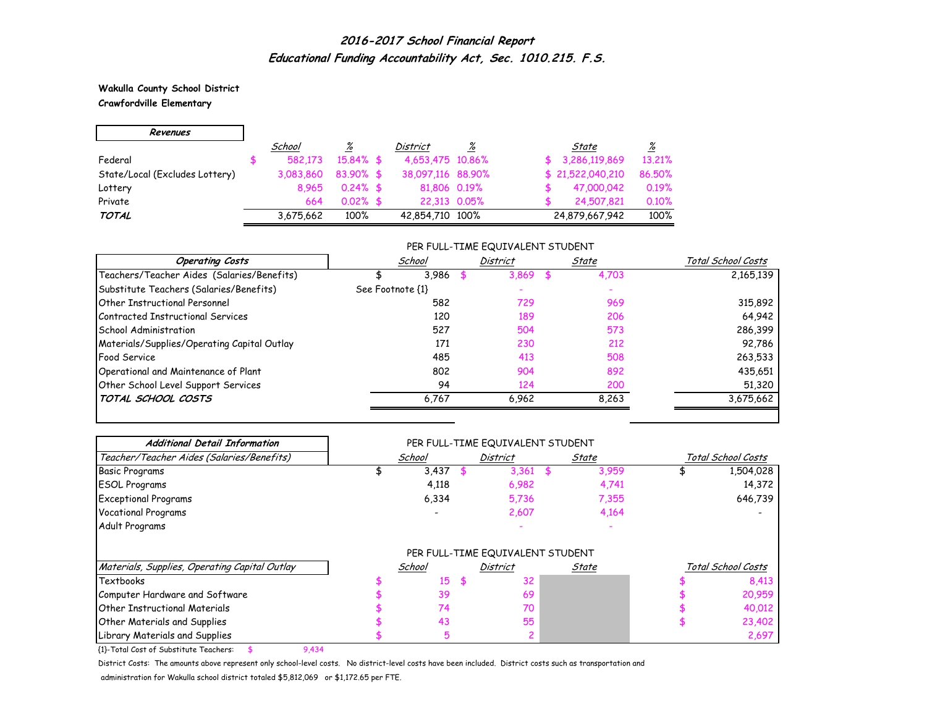**Wakulla County School District Crawfordville Elementary**

| Revenues                       |           |                 |                   |          |                  |          |
|--------------------------------|-----------|-----------------|-------------------|----------|------------------|----------|
|                                | School    | $\frac{\%}{\%}$ | <b>District</b>   | <u>%</u> | State            | <u>%</u> |
| Federal                        | 582.173   | $15.84\%$ \$    | 4,653,475 10,86%  |          | \$3,286,119,869  | 13,21%   |
| State/Local (Excludes Lottery) | 3.083.860 | $83.90\%$ \$    | 38,097,116 88,90% |          | \$21,522,040,210 | 86.50%   |
| Lottery                        | 8.965     | $0.24\%$ \$     | 81,806 0.19%      |          | 47,000,042       | 0.19%    |
| Private                        | 664       | $0.02\%$ \$     | 22,313 0.05%      |          | 24,507,821       | 0.10%    |
| TOTAL                          | 3,675,662 | 100%            | 42,854,710 100%   |          | 24,879,667,942   | 100%     |

### PER FULL-TIME EQUIVALENT STUDENT

| <b>Operating Costs</b>                      | School           |       | District | State | Total School Costs |
|---------------------------------------------|------------------|-------|----------|-------|--------------------|
| Teachers/Teacher Aides (Salaries/Benefits)  |                  | 3,986 | 3.869    | 4,703 | 2,165,139          |
| Substitute Teachers (Salaries/Benefits)     | See Footnote {1} |       |          |       |                    |
| <b>Other Instructional Personnel</b>        |                  | 582   | 729      | 969   | 315,892            |
| Contracted Instructional Services           |                  | 120   | 189      | 206   | 64,942             |
| <b>School Administration</b>                |                  | 527   | 504      | 573   | 286,399            |
| Materials/Supplies/Operating Capital Outlay |                  | 171   | 230      | 212   | 92,786             |
| Food Service                                |                  | 485   | 413      | 508   | 263,533            |
| Operational and Maintenance of Plant        |                  | 802   | 904      | 892   | 435,651            |
| Other School Level Support Services         |                  | 94    | 124      | 200   | 51,320             |
| TOTAL SCHOOL COSTS                          | 6.767            |       | 6.962    | 8.263 | 3,675,662          |

| <b>Additional Detail Information</b>          | PER FULL-TIME EQUIVALENT STUDENT |        |     |                                  |    |       |                    |                    |  |  |
|-----------------------------------------------|----------------------------------|--------|-----|----------------------------------|----|-------|--------------------|--------------------|--|--|
| Teacher/Teacher Aides (Salaries/Benefits)     | School                           |        |     | <b>District</b>                  |    | State | Total School Costs |                    |  |  |
| <b>Basic Programs</b>                         |                                  | 3,437  |     | 3,361                            | \$ | 3.959 |                    | 1,504,028          |  |  |
| <b>ESOL Programs</b>                          |                                  | 4,118  |     | 6,982                            |    | 4,741 |                    | 14,372             |  |  |
| <b>Exceptional Programs</b>                   |                                  | 6,334  |     | 5,736                            |    | 7,355 |                    | 646,739            |  |  |
| <b>Vocational Programs</b>                    |                                  |        |     | 2,607                            |    | 4,164 |                    |                    |  |  |
| Adult Programs                                |                                  |        |     |                                  |    |       |                    |                    |  |  |
|                                               |                                  |        |     | PER FULL-TIME EQUIVALENT STUDENT |    |       |                    |                    |  |  |
| Materials, Supplies, Operating Capital Outlay |                                  | School |     | District                         |    | State |                    | Total School Costs |  |  |
| Textbooks                                     |                                  | 15     | \$. | 32                               |    |       |                    | 8,413              |  |  |
| Computer Hardware and Software                |                                  | 39     |     | 69                               |    |       |                    | 20,959             |  |  |
| <b>Other Instructional Materials</b>          |                                  | 74     |     | 70                               |    |       |                    | 40,012             |  |  |
| <b>Other Materials and Supplies</b>           |                                  | 43     |     | 55                               |    |       |                    | 23,402             |  |  |
| Library Materials and Supplies                |                                  | 5      |     |                                  |    |       |                    | 2,697              |  |  |

{1}-Total Cost of Substitute Teachers: \$ 9,434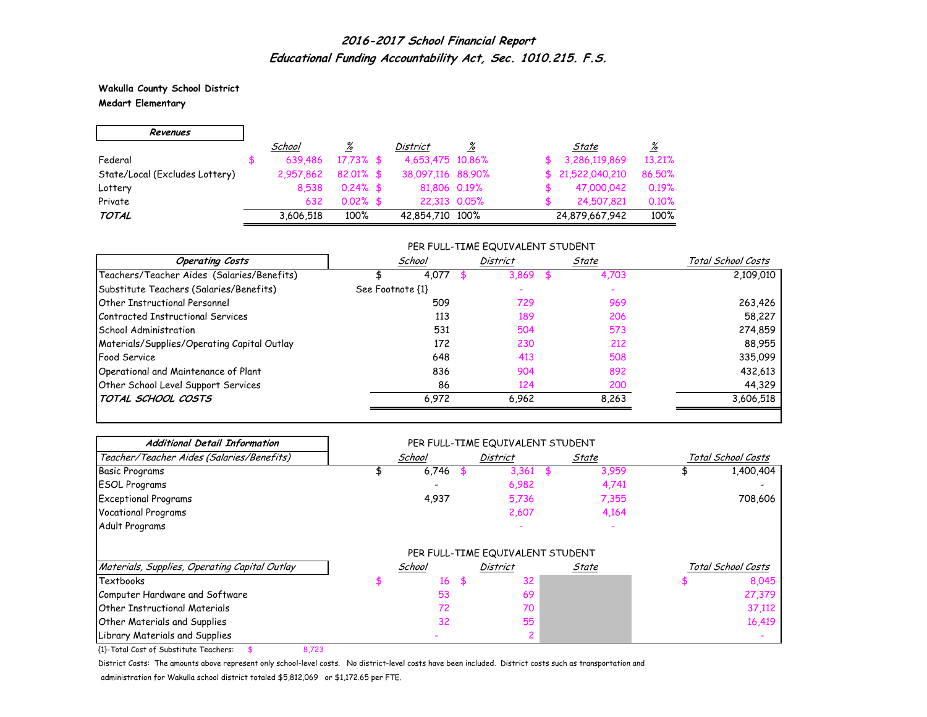**Wakulla County School District Medart Elementary**

| Revenues                       |           |              |                   |   |                  |          |
|--------------------------------|-----------|--------------|-------------------|---|------------------|----------|
|                                | School    | <u>%</u>     | <b>District</b>   | % | State            | <u>%</u> |
| Federal                        | 639.486   | $17.73\%$ \$ | 4,653,475 10,86%  |   | 3,286,119,869    | 13.21%   |
| State/Local (Excludes Lottery) | 2,957,862 | $82.01\%$ \$ | 38,097,116 88,90% |   | \$21,522,040,210 | 86.50%   |
| Lottery                        | 8.538     | $0.24\%$ \$  | 81,806 0.19%      |   | 47,000,042       | 0.19%    |
| Private                        | 632       | $0.02\%$ \$  | 22.313 0.05%      |   | 24,507,821       | 0.10%    |
| TOTAL                          | 3,606,518 | 100%         | 42,854,710 100%   |   | 24,879,667,942   | 100%     |

### PER FULL-TIME EQUIVALENT STUDENT

| <b>Operating Costs</b>                      | School           | <b>District</b> | State | Total School Costs |
|---------------------------------------------|------------------|-----------------|-------|--------------------|
| Teachers/Teacher Aides (Salaries/Benefits)  | 4.077            | 3.869           | 4,703 | 2,109,010          |
| Substitute Teachers (Salaries/Benefits)     | See Footnote {1} |                 |       |                    |
| <b>Other Instructional Personnel</b>        | 509              | 729             | 969   | 263,426            |
| Contracted Instructional Services           | 113              | 189             | 206   | 58,227             |
| School Administration                       | 531              | 504             | 573   | 274,859            |
| Materials/Supplies/Operating Capital Outlay | 172              | 230             | 212   | 88,955             |
| <b>Food Service</b>                         | 648              | 413             | 508   | 335,099            |
| Operational and Maintenance of Plant        | 836              | 904             | 892   | 432,613            |
| Other School Level Support Services         | 86               | 124             | 200   | 44,329             |
| TOTAL SCHOOL COSTS                          | 6.972            | 6.962           | 8.263 | 3,606,518          |

| <b>Additional Detail Information</b>          | PER FULL-TIME EQUIVALENT STUDENT |        |   |                                  |       |       |                    |                    |  |  |
|-----------------------------------------------|----------------------------------|--------|---|----------------------------------|-------|-------|--------------------|--------------------|--|--|
| Teacher/Teacher Aides (Salaries/Benefits)     |                                  | School |   | <b>District</b>                  | State |       | Total School Costs |                    |  |  |
| <b>Basic Programs</b>                         |                                  | 6,746  |   | 3,361                            |       | 3,959 |                    | 1,400,404          |  |  |
| <b>ESOL Programs</b>                          |                                  |        |   | 6,982                            |       | 4,741 |                    |                    |  |  |
| <b>Exceptional Programs</b>                   |                                  | 4,937  |   | 5,736                            |       | 7,355 |                    | 708,606            |  |  |
| <b>Vocational Programs</b>                    |                                  |        |   | 2,607                            |       | 4,164 |                    |                    |  |  |
| Adult Programs                                |                                  |        |   |                                  |       |       |                    |                    |  |  |
|                                               |                                  |        |   | PER FULL-TIME EQUIVALENT STUDENT |       |       |                    |                    |  |  |
| Materials, Supplies, Operating Capital Outlay |                                  | School |   | <b>District</b>                  |       | State |                    | Total School Costs |  |  |
| Textbooks                                     |                                  | 16     | 5 | 32                               |       |       |                    | 8,045              |  |  |
| Computer Hardware and Software                |                                  | 53     |   | 69                               |       |       |                    | 27,379             |  |  |
| <b>Other Instructional Materials</b>          |                                  | 72     |   | 70                               |       |       |                    | 37,112             |  |  |
| Other Materials and Supplies                  |                                  | 32     |   | 55                               |       |       |                    | 16,419             |  |  |
| Library Materials and Supplies                |                                  |        |   |                                  |       |       |                    |                    |  |  |

{1}-Total Cost of Substitute Teachers: \$ 8,723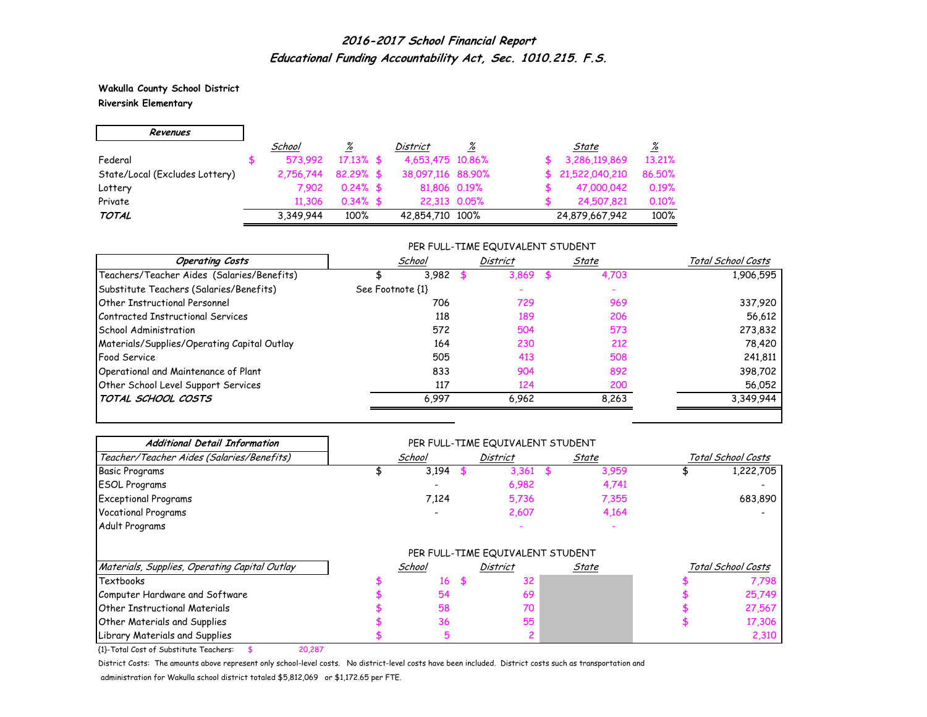**Wakulla County School District Riversink Elementary**

| Revenues                       |           |              |                   |              |                  |                 |
|--------------------------------|-----------|--------------|-------------------|--------------|------------------|-----------------|
|                                | School    | %            | District          | %            | State            | $\frac{\%}{\%}$ |
| Federal                        | 573.992   | $17.13\%$ \$ | 4,653,475 10,86%  |              | 3,286,119,869    | 13.21%          |
| State/Local (Excludes Lottery) | 2.756.744 | $82.29%$ \$  | 38,097,116 88,90% |              | \$21,522,040,210 | 86.50%          |
| Lottery                        | 7.902     | $0.24\%$ \$  | 81,806 0.19%      |              | 47,000,042       | 0.19%           |
| Private                        | 11.306    | $0.34\%$ \$  |                   | 22,313 0.05% | 24,507,821       | 0.10%           |
| <b>TOTAL</b>                   | 3,349,944 | 100%         | 42,854,710 100%   |              | 24,879,667,942   | 100%            |

### PER FULL-TIME EQUIVALENT STUDENT

| <b>Operating Costs</b>                      | School           |       | District | State | Total School Costs |
|---------------------------------------------|------------------|-------|----------|-------|--------------------|
| Teachers/Teacher Aides (Salaries/Benefits)  |                  | 3,982 | 3.869    | 4,703 | 1,906,595          |
| Substitute Teachers (Salaries/Benefits)     | See Footnote {1} |       |          |       |                    |
| <b>Other Instructional Personnel</b>        |                  | 706   | 729      | 969   | 337,920            |
| Contracted Instructional Services           |                  | 118   | 189      | 206   | 56,612             |
| School Administration                       |                  | 572   | 504      | 573   | 273,832            |
| Materials/Supplies/Operating Capital Outlay |                  | 164   | 230      | 212   | 78,420             |
| <b>Food Service</b>                         |                  | 505   | 413      | 508   | 241,811            |
| Operational and Maintenance of Plant        |                  | 833   | 904      | 892   | 398,702            |
| Other School Level Support Services         |                  | 117   | 124      | 200   | 56,052             |
| TOTAL SCHOOL COSTS                          |                  | 6.997 | 6.962    | 8.263 | 3,349,944          |

| <b>Additional Detail Information</b>          | PER FULL-TIME EQUIVALENT STUDENT |        |  |                                  |       |       |                    |                    |  |  |  |
|-----------------------------------------------|----------------------------------|--------|--|----------------------------------|-------|-------|--------------------|--------------------|--|--|--|
| Teacher/Teacher Aides (Salaries/Benefits)     |                                  | School |  | District                         | State |       | Total School Costs |                    |  |  |  |
| <b>Basic Programs</b>                         |                                  | 3,194  |  | 3,361                            |       | 3,959 |                    | 1,222,705          |  |  |  |
| <b>ESOL Programs</b>                          |                                  |        |  | 6,982                            |       | 4,741 |                    |                    |  |  |  |
| <b>Exceptional Programs</b>                   |                                  | 7,124  |  | 5,736                            |       | 7,355 |                    | 683,890            |  |  |  |
| <b>Vocational Programs</b>                    |                                  |        |  | 2,607                            |       | 4,164 |                    |                    |  |  |  |
| Adult Programs                                |                                  |        |  |                                  |       |       |                    |                    |  |  |  |
|                                               |                                  |        |  | PER FULL-TIME EQUIVALENT STUDENT |       |       |                    |                    |  |  |  |
| Materials, Supplies, Operating Capital Outlay |                                  | School |  | District                         |       | State |                    | Total School Costs |  |  |  |
| <b>Textbooks</b>                              |                                  | 16     |  | 32                               |       |       |                    | 7,798              |  |  |  |
| Computer Hardware and Software                |                                  | 54     |  | 69                               |       |       |                    | 25,749             |  |  |  |
| <b>Other Instructional Materials</b>          |                                  | 58     |  | 70                               |       |       |                    | 27,567             |  |  |  |
| <b>Other Materials and Supplies</b>           |                                  | 36     |  | 55                               |       |       |                    | 17,306             |  |  |  |
| Library Materials and Supplies                |                                  | 5      |  |                                  |       |       |                    | 2,310              |  |  |  |

{1}-Total Cost of Substitute Teachers: \$ 20,287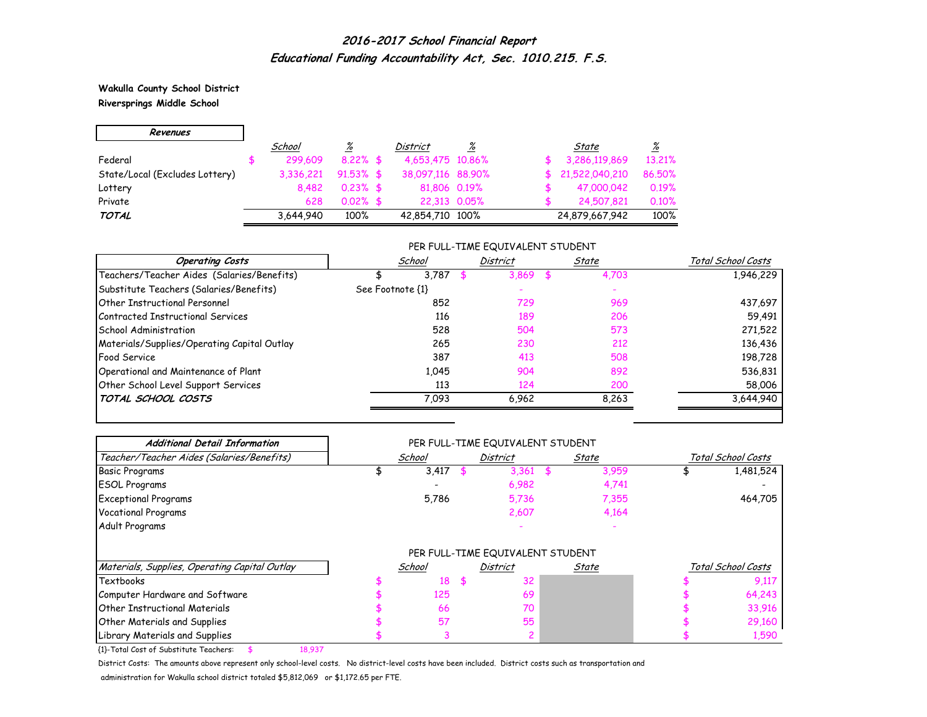**Wakulla County School District Riversprings Middle School**

| Revenues                       |           |              |                   |   |                |                 |
|--------------------------------|-----------|--------------|-------------------|---|----------------|-----------------|
|                                | School    | <u>%</u>     | <b>District</b>   | % | State          | $\frac{\%}{\%}$ |
| Federal                        | 299,609   | $8.22\%$ \$  | 4,653,475 10,86%  |   | 3,286,119,869  | 13.21%          |
| State/Local (Excludes Lottery) | 3.336.221 | $91.53\%$ \$ | 38,097,116 88,90% |   | 21,522,040,210 | 86.50%          |
| Lottery                        | 8.482     | $0.23\%$ \$  | 81,806 0.19%      |   | 47,000,042     | 0.19%           |
| Private                        | 628       | $0.02\%$ \$  | 22.313 0.05%      |   | 24,507,821     | 0.10%           |
| TOTAL                          | 3,644,940 | 100%         | 42,854,710 100%   |   | 24,879,667,942 | 100%            |

### PER FULL-TIME EQUIVALENT STUDENT

| <b>Operating Costs</b>                      | School           |       | District | State | Total School Costs |
|---------------------------------------------|------------------|-------|----------|-------|--------------------|
| Teachers/Teacher Aides (Salaries/Benefits)  |                  | 3.787 | 3.869    | 4,703 | 1,946,229          |
| Substitute Teachers (Salaries/Benefits)     | See Footnote {1} |       |          |       |                    |
| <b>Other Instructional Personnel</b>        |                  | 852   | 729      | 969   | 437,697            |
| Contracted Instructional Services           |                  | 116   | 189      | 206   | 59,491             |
| School Administration                       |                  | 528   | 504      | 573   | 271,522            |
| Materials/Supplies/Operating Capital Outlay |                  | 265   | 230      | 212   | 136,436            |
| <b>Food Service</b>                         |                  | 387   | 413      | 508   | 198,728            |
| Operational and Maintenance of Plant        |                  | 1.045 | 904      | 892   | 536,831            |
| Other School Level Support Services         |                  | 113   | 124      | 200   | 58,006             |
| TOTAL SCHOOL COSTS                          |                  | 7.093 | 6.962    | 8.263 | 3,644,940          |

| <b>Additional Detail Information</b>          | PER FULL-TIME EQUIVALENT STUDENT |        |  |                                  |       |       |                    |                    |  |  |  |
|-----------------------------------------------|----------------------------------|--------|--|----------------------------------|-------|-------|--------------------|--------------------|--|--|--|
| Teacher/Teacher Aides (Salaries/Benefits)     |                                  | School |  | District                         | State |       | Total School Costs |                    |  |  |  |
| <b>Basic Programs</b>                         |                                  | 3,417  |  | 3,361                            |       | 3,959 |                    | 1,481,524          |  |  |  |
| <b>ESOL Programs</b>                          |                                  |        |  | 6,982                            |       | 4,741 |                    |                    |  |  |  |
| <b>Exceptional Programs</b>                   |                                  | 5,786  |  | 5,736                            |       | 7,355 |                    | 464,705            |  |  |  |
| <b>Vocational Programs</b>                    |                                  |        |  | 2,607                            |       | 4,164 |                    |                    |  |  |  |
| Adult Programs                                |                                  |        |  |                                  |       |       |                    |                    |  |  |  |
|                                               |                                  |        |  | PER FULL-TIME EQUIVALENT STUDENT |       |       |                    |                    |  |  |  |
| Materials, Supplies, Operating Capital Outlay |                                  | School |  | District                         |       | State |                    | Total School Costs |  |  |  |
| Textbooks                                     |                                  | 18     |  | 32                               |       |       |                    | 9.117              |  |  |  |
| Computer Hardware and Software                |                                  | 125    |  | 69                               |       |       |                    | 64,243             |  |  |  |
| <b>Other Instructional Materials</b>          |                                  | 66     |  | 70                               |       |       |                    | 33,916             |  |  |  |
| <b>Other Materials and Supplies</b>           |                                  | 57     |  | 55                               |       |       |                    | 29,160             |  |  |  |
| Library Materials and Supplies                |                                  |        |  |                                  |       |       |                    | 1,590              |  |  |  |

{1}-Total Cost of Substitute Teachers: \$ 18,937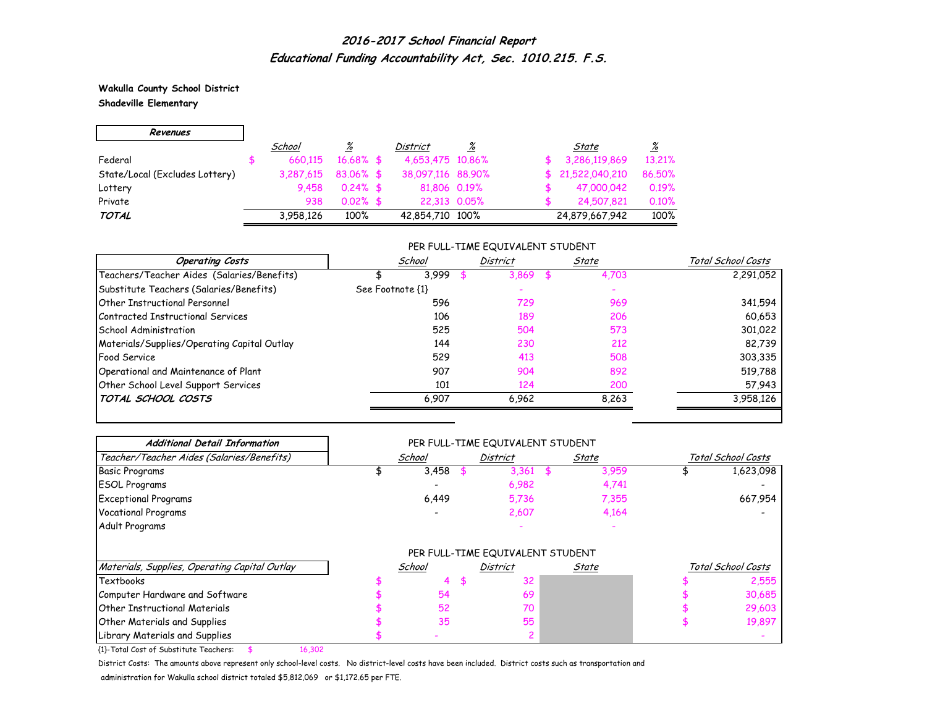**Wakulla County School District Shadeville Elementary**

| Revenues                       |           |              |                   |   |                  |                 |
|--------------------------------|-----------|--------------|-------------------|---|------------------|-----------------|
|                                | School    | <u>%</u>     | District          | % | State            | $\frac{\%}{\%}$ |
| Federal                        | 660.115   | $16.68\%$ \$ | 4,653,475 10,86%  |   | 3,286,119,869    | 13.21%          |
| State/Local (Excludes Lottery) | 3,287,615 | $83.06\%$ \$ | 38,097,116 88,90% |   | \$21,522,040,210 | 86.50%          |
| Lottery                        | 9.458     | $0.24\%$ \$  | 81,806 0.19%      |   | 47,000,042       | 0.19%           |
| Private                        | 938       | $0.02\%$ \$  | 22.313 0.05%      |   | 24,507,821       | 0.10%           |
| TOTAL                          | 3,958,126 | 100%         | 42,854,710 100%   |   | 24,879,667,942   | 100%            |

### PER FULL-TIME EQUIVALENT STUDENT

| <b>Operating Costs</b>                      |                  | School | District | State | Total School Costs |
|---------------------------------------------|------------------|--------|----------|-------|--------------------|
| Teachers/Teacher Aides (Salaries/Benefits)  |                  | 3.999  | 3.869    | 4,703 | 2,291,052          |
| Substitute Teachers (Salaries/Benefits)     | See Footnote {1} |        |          |       |                    |
| <b>Other Instructional Personnel</b>        |                  | 596    | 729      | 969   | 341,594            |
| Contracted Instructional Services           |                  | 106    | 189      | 206   | 60,653             |
| School Administration                       |                  | 525    | 504      | 573   | 301,022            |
| Materials/Supplies/Operating Capital Outlay |                  | 144    | 230      | 212   | 82,739             |
| <b>Food Service</b>                         |                  | 529    | 413      | 508   | 303,335            |
| Operational and Maintenance of Plant        |                  | 907    | 904      | 892   | 519,788            |
| Other School Level Support Services         |                  | 101    | 124      | 200   | 57,943             |
| TOTAL SCHOOL COSTS                          |                  | 6.907  | 6.962    | 8.263 | 3,958,126          |

| <b>Additional Detail Information</b>          | PER FULL-TIME EQUIVALENT STUDENT |        |  |                                  |  |       |                    |                    |  |  |  |
|-----------------------------------------------|----------------------------------|--------|--|----------------------------------|--|-------|--------------------|--------------------|--|--|--|
| Teacher/Teacher Aides (Salaries/Benefits)     |                                  | School |  | District                         |  | State | Total School Costs |                    |  |  |  |
| <b>Basic Programs</b>                         |                                  | 3,458  |  | 3,361                            |  | 3,959 |                    | 1,623,098          |  |  |  |
| <b>ESOL Programs</b>                          |                                  |        |  | 6,982                            |  | 4,741 |                    |                    |  |  |  |
| <b>Exceptional Programs</b>                   |                                  | 6,449  |  | 5,736                            |  | 7,355 |                    | 667,954            |  |  |  |
| <b>Vocational Programs</b>                    |                                  |        |  | 2,607                            |  | 4,164 |                    |                    |  |  |  |
| Adult Programs                                |                                  |        |  |                                  |  |       |                    |                    |  |  |  |
|                                               |                                  |        |  | PER FULL-TIME EQUIVALENT STUDENT |  |       |                    |                    |  |  |  |
| Materials, Supplies, Operating Capital Outlay |                                  | School |  | District                         |  | State |                    | Total School Costs |  |  |  |
| <b>Textbooks</b>                              |                                  |        |  | 32                               |  |       |                    | 2,555              |  |  |  |
| Computer Hardware and Software                |                                  | 54     |  | 69                               |  |       |                    | 30,685             |  |  |  |
| <b>Other Instructional Materials</b>          |                                  | 52     |  | 70                               |  |       |                    | 29,603             |  |  |  |
| <b>Other Materials and Supplies</b>           |                                  | 35     |  | 55                               |  |       |                    | 19,897             |  |  |  |
| Library Materials and Supplies                |                                  |        |  |                                  |  |       |                    |                    |  |  |  |

{1}-Total Cost of Substitute Teachers: \$ 16,302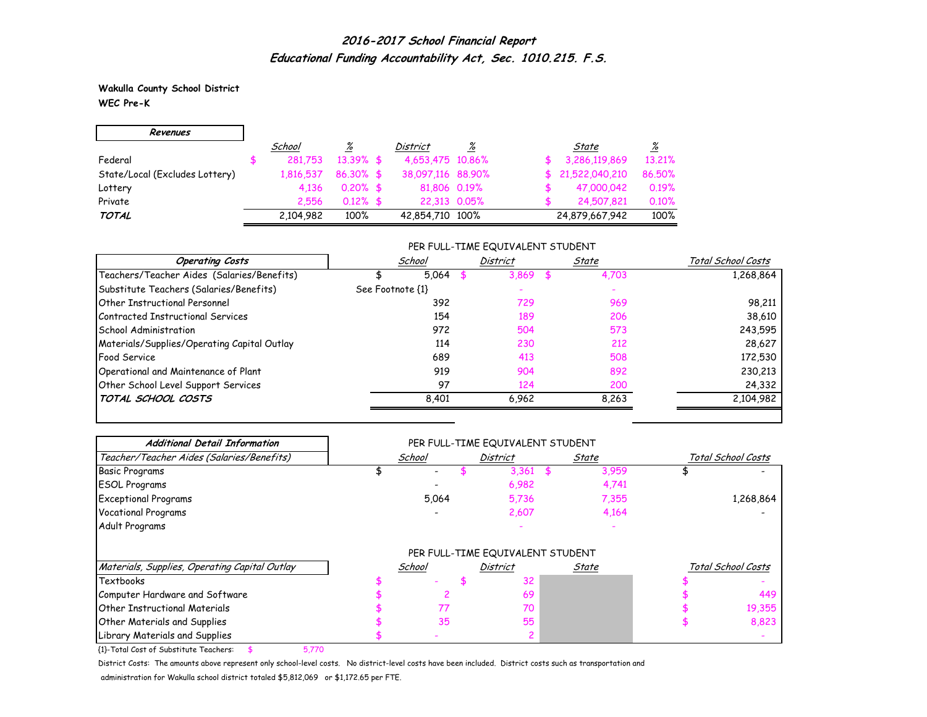**Wakulla County School District WEC Pre-K**

| Revenues                       |           |              |                   |   |                  |          |
|--------------------------------|-----------|--------------|-------------------|---|------------------|----------|
|                                | School    | <u>%</u>     | District          | % | State            | <u>%</u> |
| Federal                        | 281.753   | $13.39%$ \$  | 4,653,475 10,86%  |   | 3,286,119,869    | 13.21%   |
| State/Local (Excludes Lottery) | 1.816.537 | $86.30\%$ \$ | 38,097,116 88,90% |   | \$21,522,040,210 | 86.50%   |
| Lottery                        | 4.136     | $0.20\%$ \$  | 81,806 0.19%      |   | 47,000,042       | 0.19%    |
| Private                        | 2.556     | $0.12\%$ \$  | 22.313 0.05%      |   | 24,507,821       | 0.10%    |
| TOTAL                          | 2,104,982 | 100%         | 42,854,710 100%   |   | 24,879,667,942   | 100%     |

### PER FULL-TIME EQUIVALENT STUDENT

| <b>Operating Costs</b>                      | School           |       | District | State |       | Total School Costs |
|---------------------------------------------|------------------|-------|----------|-------|-------|--------------------|
| Teachers/Teacher Aides (Salaries/Benefits)  |                  | 5.064 | 3.869    |       | 4,703 | 1,268,864          |
| Substitute Teachers (Salaries/Benefits)     | See Footnote {1} |       |          |       |       |                    |
| <b>Other Instructional Personnel</b>        |                  | 392   | 729      |       | 969   | 98,211             |
| Contracted Instructional Services           |                  | 154   | 189      |       | 206   | 38,610             |
| School Administration                       |                  | 972   | 504      |       | 573   | 243,595            |
| Materials/Supplies/Operating Capital Outlay |                  | 114   | 230      |       | 212   | 28,627             |
| <b>Food Service</b>                         |                  | 689   | 413      |       | 508   | 172,530            |
| Operational and Maintenance of Plant        |                  | 919   | 904      |       | 892   | 230,213            |
| Other School Level Support Services         |                  | 97    | 124      |       | 200   | 24,332             |
| TOTAL SCHOOL COSTS                          |                  | 8.401 | 6.962    |       | 8.263 | 2,104,982          |

| <b>Additional Detail Information</b>          | PER FULL-TIME EQUIVALENT STUDENT |        |                 |                                  |  |       |                    |                    |  |  |  |
|-----------------------------------------------|----------------------------------|--------|-----------------|----------------------------------|--|-------|--------------------|--------------------|--|--|--|
| Teacher/Teacher Aides (Salaries/Benefits)     |                                  | School | <b>District</b> |                                  |  | State | Total School Costs |                    |  |  |  |
| <b>Basic Programs</b>                         |                                  |        |                 | 3,361                            |  | 3,959 |                    |                    |  |  |  |
| <b>ESOL Programs</b>                          |                                  |        |                 | 6,982                            |  | 4,741 |                    |                    |  |  |  |
| <b>Exceptional Programs</b>                   |                                  | 5.064  |                 | 5,736                            |  | 7,355 |                    | 1,268,864          |  |  |  |
| <b>Vocational Programs</b>                    |                                  |        |                 | 2,607                            |  | 4,164 |                    |                    |  |  |  |
| Adult Programs                                |                                  |        |                 |                                  |  |       |                    |                    |  |  |  |
|                                               |                                  |        |                 | PER FULL-TIME EQUIVALENT STUDENT |  |       |                    |                    |  |  |  |
| Materials, Supplies, Operating Capital Outlay |                                  | School |                 | District                         |  | State |                    | Total School Costs |  |  |  |
| Textbooks                                     |                                  |        |                 | 32                               |  |       |                    |                    |  |  |  |
| Computer Hardware and Software                |                                  |        |                 | 69                               |  |       |                    | 449                |  |  |  |
| <b>Other Instructional Materials</b>          |                                  | 77     |                 | 70                               |  |       |                    | 19,355             |  |  |  |
| <b>Other Materials and Supplies</b>           |                                  | 35     |                 | 55                               |  |       |                    | 8,823              |  |  |  |
| Library Materials and Supplies                |                                  |        |                 |                                  |  |       |                    |                    |  |  |  |

{1}-Total Cost of Substitute Teachers: \$ 5,770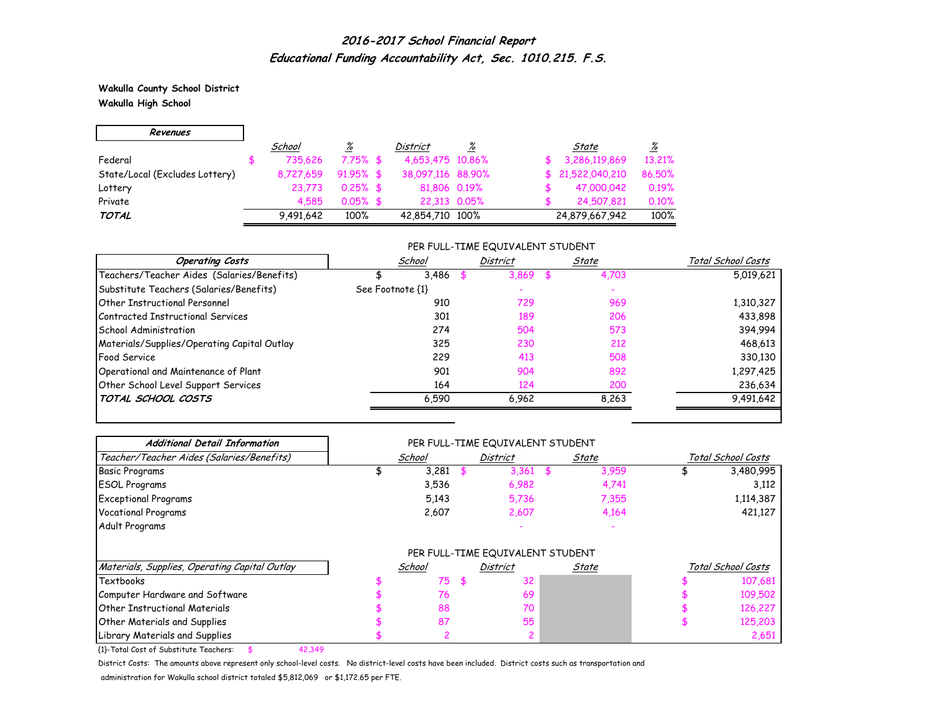**Wakulla County School District Wakulla High School**

| Revenues                       |           |              |                   |              |                  |          |
|--------------------------------|-----------|--------------|-------------------|--------------|------------------|----------|
|                                | School    | <u>%</u>     | <b>District</b>   | %            | State            | <u>%</u> |
| Federal                        | 735.626   | $7.75%$ \$   | 4,653,475 10,86%  |              | 3,286,119,869    | 13.21%   |
| State/Local (Excludes Lottery) | 8.727.659 | $91.95\%$ \$ | 38,097,116 88,90% |              | \$21,522,040,210 | 86.50%   |
| Lottery                        | 23.773    | $0.25%$ \$   | 81,806 0.19%      |              | 47,000,042       | 0.19%    |
| Private                        | 4.585     | $0.05%$ \$   |                   | 22.313 0.05% | 24,507,821       | 0.10%    |
| TOTAL                          | 9,491,642 | 100%         | 42,854,710 100%   |              | 24,879,667,942   | 100%     |

### PER FULL-TIME EQUIVALENT STUDENT

| <b>Operating Costs</b>                      |                  | School | <b>District</b> | State | Total School Costs |
|---------------------------------------------|------------------|--------|-----------------|-------|--------------------|
| Teachers/Teacher Aides (Salaries/Benefits)  |                  | 3.486  | 3.869           | 4,703 | 5,019,621          |
| Substitute Teachers (Salaries/Benefits)     | See Footnote {1} |        |                 |       |                    |
| <b>Other Instructional Personnel</b>        |                  | 910    | 729             | 969   | 1,310,327          |
| Contracted Instructional Services           |                  | 301    | 189             | 206   | 433,898            |
| School Administration                       |                  | 274    | 504             | 573   | 394,994            |
| Materials/Supplies/Operating Capital Outlay |                  | 325    | 230             | 212   | 468,613            |
| <b>Food Service</b>                         |                  | 229    | 413             | 508   | 330,130            |
| Operational and Maintenance of Plant        |                  | 901    | 904             | 892   | 1,297,425          |
| Other School Level Support Services         |                  | 164    | 124             | 200   | 236,634            |
| TOTAL SCHOOL COSTS                          |                  | 6.590  | 6.962           | 8,263 | 9,491,642          |

| <b>Additional Detail Information</b>          |        |     | PER FULL-TIME EQUIVALENT STUDENT |       |                    |
|-----------------------------------------------|--------|-----|----------------------------------|-------|--------------------|
| Teacher/Teacher Aides (Salaries/Benefits)     | School |     | District                         | State | Total School Costs |
| <b>Basic Programs</b>                         | 3,281  |     | 3,361                            | 3,959 | 3,480,995          |
| <b>ESOL Programs</b>                          | 3,536  |     | 6,982                            | 4,741 | 3,112              |
| <b>Exceptional Programs</b>                   | 5,143  |     | 5,736                            | 7,355 | 1,114,387          |
| <b>Vocational Programs</b>                    | 2,607  |     | 2,607                            | 4,164 | 421,127            |
| Adult Programs                                |        |     |                                  |       |                    |
|                                               |        |     | PER FULL-TIME EQUIVALENT STUDENT |       |                    |
| Materials, Supplies, Operating Capital Outlay | School |     | <b>District</b>                  | State | Total School Costs |
| Textbooks                                     | 75     | \$. | 32                               |       | 107,681            |
| Computer Hardware and Software                | 76     |     | 69                               |       | 109,502            |
| <b>Other Instructional Materials</b>          | 88     |     | 70                               |       | 126,227            |
| <b>Other Materials and Supplies</b>           | 87     |     | 55                               |       | 125,203            |
| Library Materials and Supplies                |        |     |                                  |       | 2,651              |

{1}-Total Cost of Substitute Teachers: \$ 42,349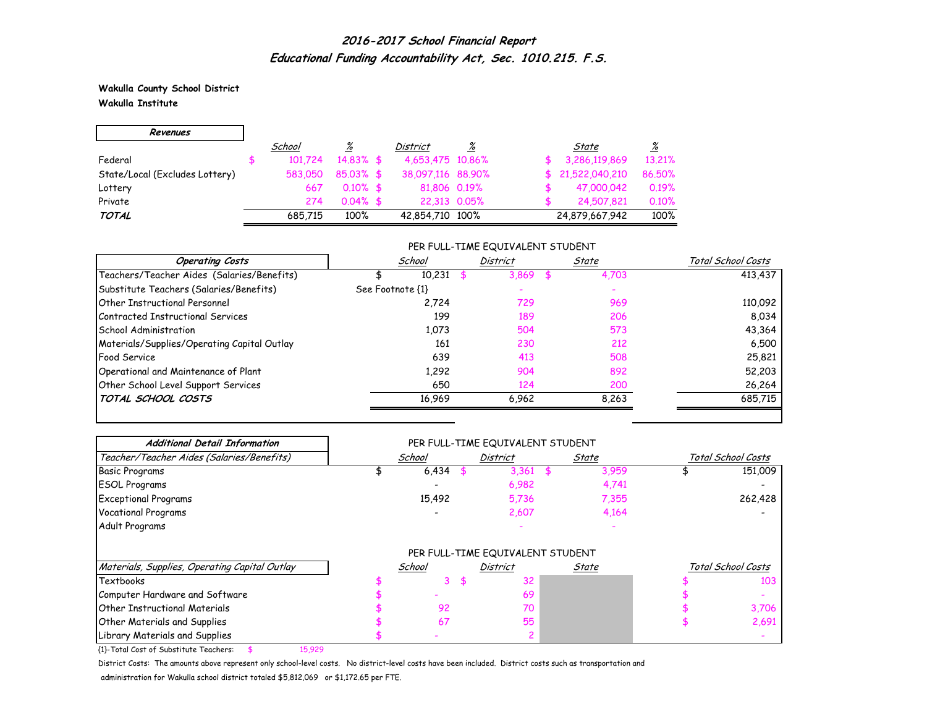**Wakulla County School District Wakulla Institute**

| Revenues                       |         |              |                   |   |                  |          |
|--------------------------------|---------|--------------|-------------------|---|------------------|----------|
|                                | School  | %            | <b>District</b>   | % | State            | <u>%</u> |
| Federal                        | 101.724 | $14.83\%$ \$ | 4,653,475 10,86%  |   | 3,286,119,869    | 13.21%   |
| State/Local (Excludes Lottery) | 583,050 | $85.03\%$ \$ | 38,097,116 88,90% |   | \$21,522,040,210 | 86.50%   |
| Lottery                        | 667     | $0.10\%$ \$  | 81,806 0.19%      |   | 47,000,042       | 0.19%    |
| Private                        | 274     | $0.04\%$ \$  | 22,313 0.05%      |   | 24,507,821       | 0.10%    |
| TOTAL                          | 685.715 | 100%         | 42,854,710 100%   |   | 24,879,667,942   | 100%     |

#### PER FULL-TIME EQUIVALENT STUDENT

| <b>Operating Costs</b>                      | School           | District | State | Total School Costs |
|---------------------------------------------|------------------|----------|-------|--------------------|
| Teachers/Teacher Aides (Salaries/Benefits)  | 10,231           | 3,869    | 4,703 | 413,437            |
| Substitute Teachers (Salaries/Benefits)     | See Footnote {1} |          |       |                    |
| <b>Other Instructional Personnel</b>        | 2.724            | 729      | 969   | 110,092            |
| Contracted Instructional Services           | 199              | 189      | 206   | 8,034              |
| School Administration                       | 1,073            | 504      | 573   | 43,364             |
| Materials/Supplies/Operating Capital Outlay | 161              | 230      | 212   | 6,500              |
| <b>Food Service</b>                         | 639              | 413      | 508   | 25,821             |
| Operational and Maintenance of Plant        | 1,292            | 904      | 892   | 52,203             |
| Other School Level Support Services         | 650              | 124      | 200   | 26,264             |
| TOTAL SCHOOL COSTS                          | 16,969           | 6.962    | 8.263 | 685,715            |

| <b>Additional Detail Information</b>          |        |          | PER FULL-TIME EQUIVALENT STUDENT |       |       |                    |
|-----------------------------------------------|--------|----------|----------------------------------|-------|-------|--------------------|
| Teacher/Teacher Aides (Salaries/Benefits)     | School | District |                                  | State |       | Total School Costs |
| <b>Basic Programs</b>                         | 6,434  |          | 3,361                            | 56    | 3,959 | 151,009            |
| <b>ESOL Programs</b>                          |        |          | 6,982                            |       | 4,741 |                    |
| <b>Exceptional Programs</b>                   | 15,492 |          | 5,736                            |       | 7,355 | 262,428            |
| <b>Vocational Programs</b>                    |        |          | 2,607                            |       | 4,164 |                    |
| Adult Programs                                |        |          |                                  |       |       |                    |
|                                               |        |          | PER FULL-TIME EQUIVALENT STUDENT |       |       |                    |
| Materials, Supplies, Operating Capital Outlay | School |          | District                         |       | State | Total School Costs |
| Textbooks                                     |        |          | 32                               |       |       | 103                |
| Computer Hardware and Software                |        |          | 69                               |       |       |                    |
| <b>Other Instructional Materials</b>          | 92     |          | 70                               |       |       | 3,706              |
| Other Materials and Supplies                  | 67     |          | 55                               |       |       | 2,691              |
| Library Materials and Supplies                |        |          |                                  |       |       |                    |

{1}-Total Cost of Substitute Teachers: \$ 15,929